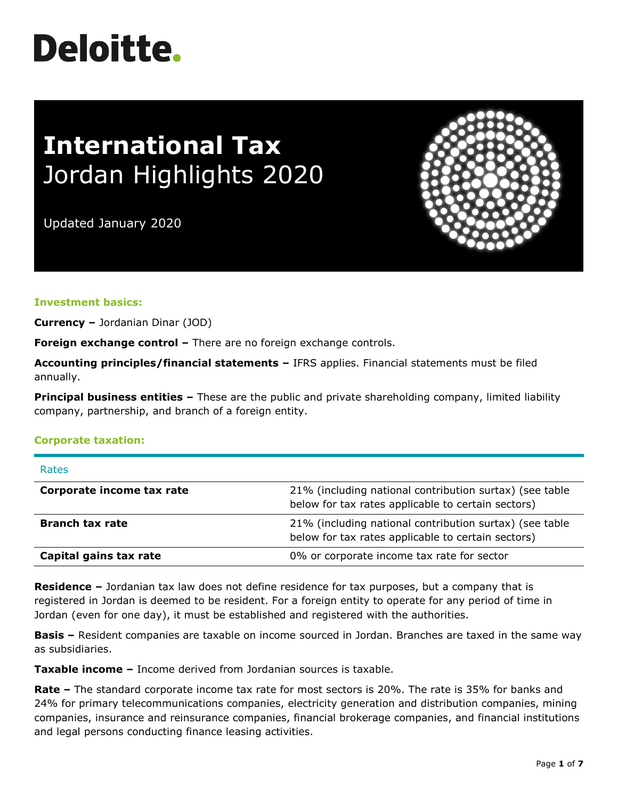# **Deloitte.**

# **International Tax** Jordan Highlights 2020

Updated January 2020



## **Investment basics:**

**Currency –** Jordanian Dinar (JOD)

**Foreign exchange control –** There are no foreign exchange controls.

**Accounting principles/financial statements –** IFRS applies. Financial statements must be filed annually.

**Principal business entities –** These are the public and private shareholding company, limited liability company, partnership, and branch of a foreign entity.

#### **Corporate taxation:**

| <b>Rates</b>              |                                                                                                               |
|---------------------------|---------------------------------------------------------------------------------------------------------------|
| Corporate income tax rate | 21% (including national contribution surtax) (see table<br>below for tax rates applicable to certain sectors) |
| <b>Branch tax rate</b>    | 21% (including national contribution surtax) (see table<br>below for tax rates applicable to certain sectors) |
| Capital gains tax rate    | 0% or corporate income tax rate for sector                                                                    |

**Residence –** Jordanian tax law does not define residence for tax purposes, but a company that is registered in Jordan is deemed to be resident. For a foreign entity to operate for any period of time in Jordan (even for one day), it must be established and registered with the authorities.

**Basis –** Resident companies are taxable on income sourced in Jordan. Branches are taxed in the same way as subsidiaries.

**Taxable income –** Income derived from Jordanian sources is taxable.

**Rate –** The standard corporate income tax rate for most sectors is 20%. The rate is 35% for banks and 24% for primary telecommunications companies, electricity generation and distribution companies, mining companies, insurance and reinsurance companies, financial brokerage companies, and financial institutions and legal persons conducting finance leasing activities.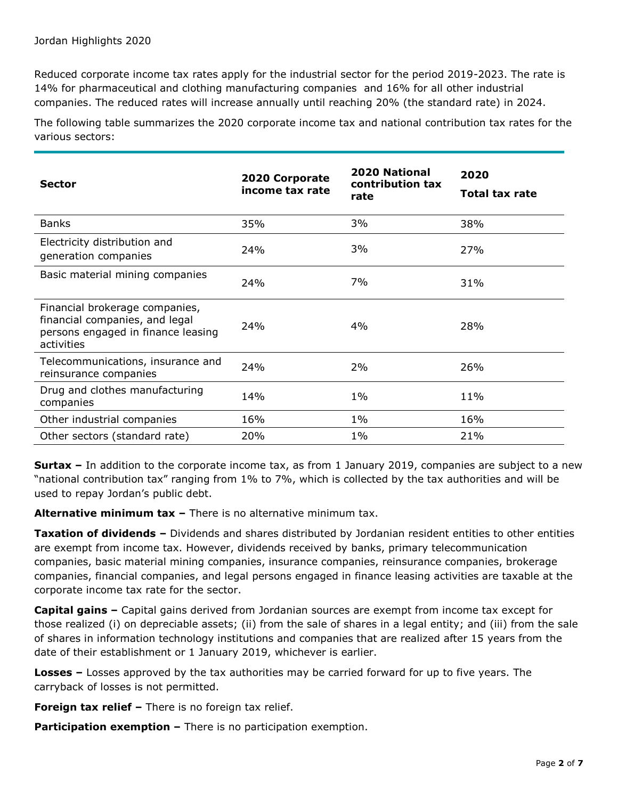Reduced corporate income tax rates apply for the industrial sector for the period 2019-2023. The rate is 14% for pharmaceutical and clothing manufacturing companies and 16% for all other industrial companies. The reduced rates will increase annually until reaching 20% (the standard rate) in 2024.

The following table summarizes the 2020 corporate income tax and national contribution tax rates for the various sectors:

| <b>Sector</b>                                                                                                        | 2020 Corporate<br>income tax rate | <b>2020 National</b><br>contribution tax<br>rate | 2020<br><b>Total tax rate</b> |
|----------------------------------------------------------------------------------------------------------------------|-----------------------------------|--------------------------------------------------|-------------------------------|
| <b>Banks</b>                                                                                                         | 35%                               | 3%                                               | 38%                           |
| Electricity distribution and<br>generation companies                                                                 | 24%                               | 3%                                               | 27%                           |
| Basic material mining companies                                                                                      | 24%                               | 7%                                               | 31%                           |
| Financial brokerage companies,<br>financial companies, and legal<br>persons engaged in finance leasing<br>activities | 24%                               | 4%                                               | 28%                           |
| Telecommunications, insurance and<br>reinsurance companies                                                           | 24%                               | 2%                                               | 26%                           |
| Drug and clothes manufacturing<br>companies                                                                          | 14%                               | $1\%$                                            | 11%                           |
| Other industrial companies                                                                                           | 16%                               | $1\%$                                            | 16%                           |
| Other sectors (standard rate)                                                                                        | 20%                               | $1\%$                                            | 21%                           |

**Surtax –** In addition to the corporate income tax, as from 1 January 2019, companies are subject to a new "national contribution tax" ranging from 1% to 7%, which is collected by the tax authorities and will be used to repay Jordan's public debt.

**Alternative minimum tax –** There is no alternative minimum tax.

**Taxation of dividends –** Dividends and shares distributed by Jordanian resident entities to other entities are exempt from income tax. However, dividends received by banks, primary telecommunication companies, basic material mining companies, insurance companies, reinsurance companies, brokerage companies, financial companies, and legal persons engaged in finance leasing activities are taxable at the corporate income tax rate for the sector.

**Capital gains –** Capital gains derived from Jordanian sources are exempt from income tax except for those realized (i) on depreciable assets; (ii) from the sale of shares in a legal entity; and (iii) from the sale of shares in information technology institutions and companies that are realized after 15 years from the date of their establishment or 1 January 2019, whichever is earlier.

**Losses –** Losses approved by the tax authorities may be carried forward for up to five years. The carryback of losses is not permitted.

**Foreign tax relief** – There is no foreign tax relief.

**Participation exemption -** There is no participation exemption.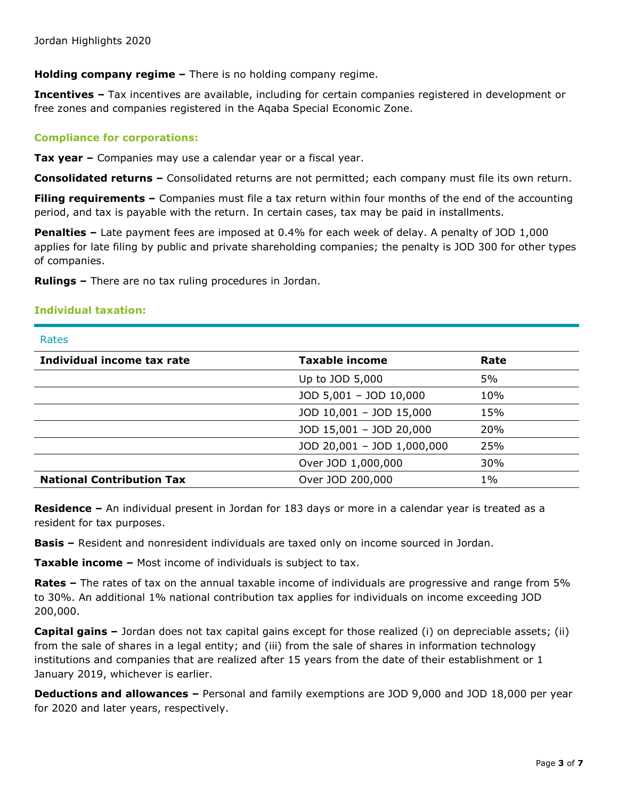**Holding company regime –** There is no holding company regime.

**Incentives –** Tax incentives are available, including for certain companies registered in development or free zones and companies registered in the Aqaba Special Economic Zone.

## **Compliance for corporations:**

**Tax year –** Companies may use a calendar year or a fiscal year.

**Consolidated returns –** Consolidated returns are not permitted; each company must file its own return.

**Filing requirements –** Companies must file a tax return within four months of the end of the accounting period, and tax is payable with the return. In certain cases, tax may be paid in installments.

**Penalties –** Late payment fees are imposed at 0.4% for each week of delay. A penalty of JOD 1,000 applies for late filing by public and private shareholding companies; the penalty is JOD 300 for other types of companies.

**Rulings –** There are no tax ruling procedures in Jordan.

#### **Individual taxation:**

**Datoc** 

| nalco                            |                            |            |
|----------------------------------|----------------------------|------------|
| Individual income tax rate       | <b>Taxable income</b>      | Rate       |
|                                  | Up to JOD 5,000            | 5%         |
|                                  | JOD 5,001 - JOD 10,000     | 10%        |
|                                  | JOD 10,001 - JOD 15,000    | 15%        |
|                                  | JOD 15,001 - JOD 20,000    | <b>20%</b> |
|                                  | JOD 20,001 - JOD 1,000,000 | 25%        |
|                                  | Over JOD 1,000,000         | 30%        |
| <b>National Contribution Tax</b> | Over JOD 200,000           | $1\%$      |

**Residence –** An individual present in Jordan for 183 days or more in a calendar year is treated as a resident for tax purposes.

**Basis –** Resident and nonresident individuals are taxed only on income sourced in Jordan.

**Taxable income –** Most income of individuals is subject to tax.

**Rates –** The rates of tax on the annual taxable income of individuals are progressive and range from 5% to 30%. An additional 1% national contribution tax applies for individuals on income exceeding JOD 200,000.

**Capital gains –** Jordan does not tax capital gains except for those realized (i) on depreciable assets; (ii) from the sale of shares in a legal entity; and (iii) from the sale of shares in information technology institutions and companies that are realized after 15 years from the date of their establishment or 1 January 2019, whichever is earlier.

**Deductions and allowances –** Personal and family exemptions are JOD 9,000 and JOD 18,000 per year for 2020 and later years, respectively.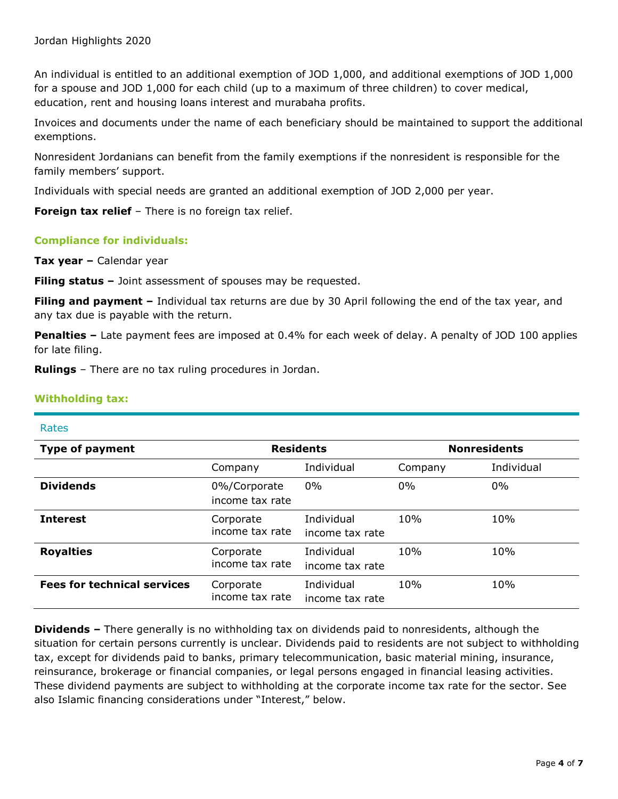An individual is entitled to an additional exemption of JOD 1,000, and additional exemptions of JOD 1,000 for a spouse and JOD 1,000 for each child (up to a maximum of three children) to cover medical, education, rent and housing loans interest and murabaha profits.

Invoices and documents under the name of each beneficiary should be maintained to support the additional exemptions.

Nonresident Jordanians can benefit from the family exemptions if the nonresident is responsible for the family members' support.

Individuals with special needs are granted an additional exemption of JOD 2,000 per year.

**Foreign tax relief** - There is no foreign tax relief.

# **Compliance for individuals:**

**Tax year –** Calendar year

**Filing status –** Joint assessment of spouses may be requested.

**Filing and payment –** Individual tax returns are due by 30 April following the end of the tax year, and any tax due is payable with the return.

**Penalties –** Late payment fees are imposed at 0.4% for each week of delay. A penalty of JOD 100 applies for late filing.

**Rulings** – There are no tax ruling procedures in Jordan.

## **Withholding tax:**

#### Rates

| <b>Type of payment</b>             | <b>Residents</b>                |                               | <b>Nonresidents</b> |            |
|------------------------------------|---------------------------------|-------------------------------|---------------------|------------|
|                                    | Company                         | Individual                    | Company             | Individual |
| <b>Dividends</b>                   | 0%/Corporate<br>income tax rate | $0\%$                         | $0\%$               | $0\%$      |
| <b>Interest</b>                    | Corporate<br>income tax rate    | Individual<br>income tax rate | 10%                 | 10%        |
| <b>Royalties</b>                   | Corporate<br>income tax rate    | Individual<br>income tax rate | 10%                 | 10%        |
| <b>Fees for technical services</b> | Corporate<br>income tax rate    | Individual<br>income tax rate | 10%                 | 10%        |

**Dividends –** There generally is no withholding tax on dividends paid to nonresidents, although the situation for certain persons currently is unclear. Dividends paid to residents are not subject to withholding tax, except for dividends paid to banks, primary telecommunication, basic material mining, insurance, reinsurance, brokerage or financial companies, or legal persons engaged in financial leasing activities. These dividend payments are subject to withholding at the corporate income tax rate for the sector. See also Islamic financing considerations under "Interest," below.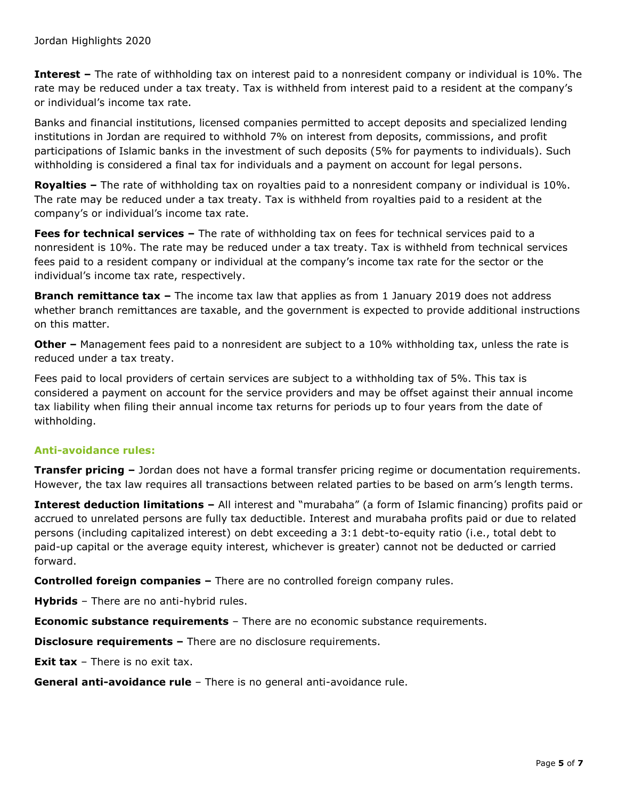**Interest –** The rate of withholding tax on interest paid to a nonresident company or individual is 10%. The rate may be reduced under a tax treaty. Tax is withheld from interest paid to a resident at the company's or individual's income tax rate.

Banks and financial institutions, licensed companies permitted to accept deposits and specialized lending institutions in Jordan are required to withhold 7% on interest from deposits, commissions, and profit participations of Islamic banks in the investment of such deposits (5% for payments to individuals). Such withholding is considered a final tax for individuals and a payment on account for legal persons.

**Royalties –** The rate of withholding tax on royalties paid to a nonresident company or individual is 10%. The rate may be reduced under a tax treaty. Tax is withheld from royalties paid to a resident at the company's or individual's income tax rate.

**Fees for technical services –** The rate of withholding tax on fees for technical services paid to a nonresident is 10%. The rate may be reduced under a tax treaty. Tax is withheld from technical services fees paid to a resident company or individual at the company's income tax rate for the sector or the individual's income tax rate, respectively.

**Branch remittance tax –** The income tax law that applies as from 1 January 2019 does not address whether branch remittances are taxable, and the government is expected to provide additional instructions on this matter.

**Other** – Management fees paid to a nonresident are subject to a 10% withholding tax, unless the rate is reduced under a tax treaty.

Fees paid to local providers of certain services are subject to a withholding tax of 5%. This tax is considered a payment on account for the service providers and may be offset against their annual income tax liability when filing their annual income tax returns for periods up to four years from the date of withholding.

# **Anti-avoidance rules:**

**Transfer pricing –** Jordan does not have a formal transfer pricing regime or documentation requirements. However, the tax law requires all transactions between related parties to be based on arm's length terms.

**Interest deduction limitations –** All interest and "murabaha" (a form of Islamic financing) profits paid or accrued to unrelated persons are fully tax deductible. Interest and murabaha profits paid or due to related persons (including capitalized interest) on debt exceeding a 3:1 debt-to-equity ratio (i.e., total debt to paid-up capital or the average equity interest, whichever is greater) cannot not be deducted or carried forward.

**Controlled foreign companies –** There are no controlled foreign company rules.

**Hybrids** – There are no anti-hybrid rules.

**Economic substance requirements** – There are no economic substance requirements.

**Disclosure requirements –** There are no disclosure requirements.

**Exit tax** – There is no exit tax.

**General anti-avoidance rule** – There is no general anti-avoidance rule.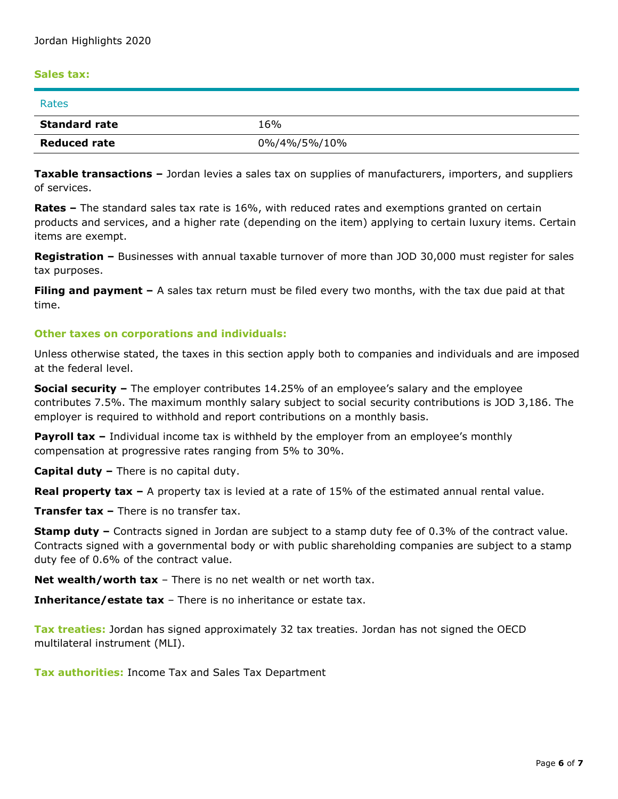#### **Sales tax:**

| Rates                |              |
|----------------------|--------------|
| <b>Standard rate</b> | 16%          |
| <b>Reduced rate</b>  | 0%/4%/5%/10% |

**Taxable transactions –** Jordan levies a sales tax on supplies of manufacturers, importers, and suppliers of services.

**Rates –** The standard sales tax rate is 16%, with reduced rates and exemptions granted on certain products and services, and a higher rate (depending on the item) applying to certain luxury items. Certain items are exempt.

**Registration –** Businesses with annual taxable turnover of more than JOD 30,000 must register for sales tax purposes.

**Filing and payment –** A sales tax return must be filed every two months, with the tax due paid at that time.

#### **Other taxes on corporations and individuals:**

Unless otherwise stated, the taxes in this section apply both to companies and individuals and are imposed at the federal level.

**Social security –** The employer contributes 14.25% of an employee's salary and the employee contributes 7.5%. The maximum monthly salary subject to social security contributions is JOD 3,186. The employer is required to withhold and report contributions on a monthly basis.

**Payroll tax –** Individual income tax is withheld by the employer from an employee's monthly compensation at progressive rates ranging from 5% to 30%.

**Capital duty –** There is no capital duty.

**Real property tax –** A property tax is levied at a rate of 15% of the estimated annual rental value.

**Transfer tax –** There is no transfer tax.

**Stamp duty –** Contracts signed in Jordan are subject to a stamp duty fee of 0.3% of the contract value. Contracts signed with a governmental body or with public shareholding companies are subject to a stamp duty fee of 0.6% of the contract value.

**Net wealth/worth tax** – There is no net wealth or net worth tax.

**Inheritance/estate tax** – There is no inheritance or estate tax.

**Tax treaties:** Jordan has signed approximately 32 tax treaties. Jordan has not signed the OECD multilateral instrument (MLI).

**Tax authorities:** Income Tax and Sales Tax Department